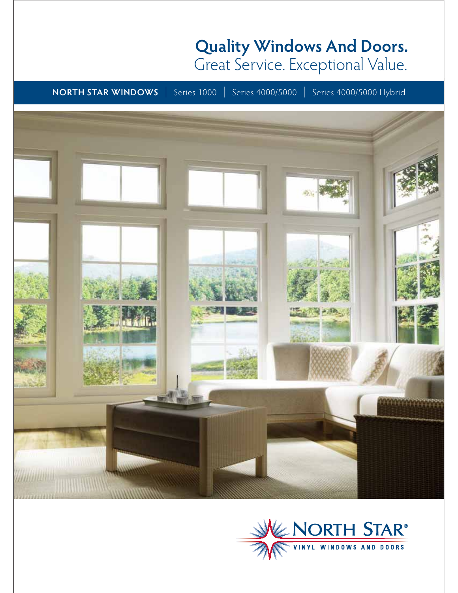# **Quality Windows And Doors.**  Great Service. Exceptional Value.

**NORTH STAR WINDOWS** | Series 1000 | Series 4000/5000 | Series 4000/5000 Hybrid



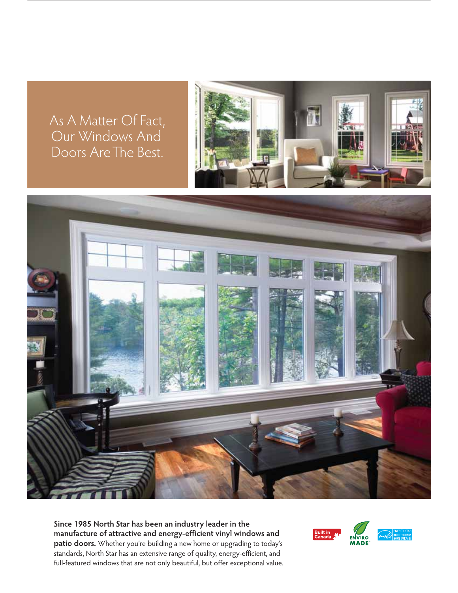As A Matter Of Fact, Our Windows And Doors Are The Best.





**Since 1985 North Star has been an industry leader in the manufacture of attractive and energy-efficient vinyl windows and patio doors.** Whether you're building a new home or upgrading to today's standards, North Star has an extensive range of quality, energy-efficient, and full-featured windows that are not only beautiful, but offer exceptional value.



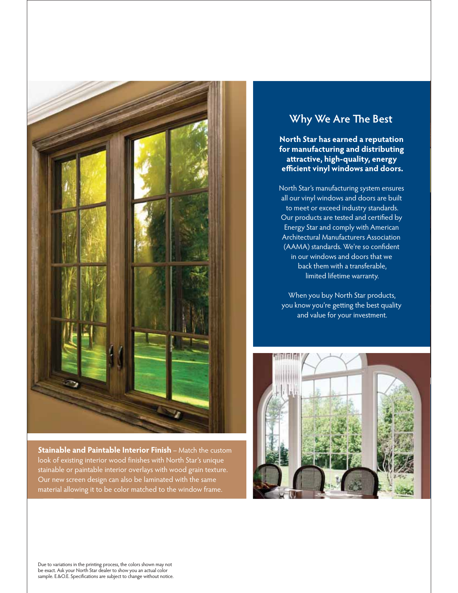

**Stainable and Paintable Interior Finish** – Match the custom look of existing interior wood finishes with North Star's unique stainable or paintable interior overlays with wood grain texture. Our new screen design can also be laminated with the same material allowing it to be color matched to the window frame.

# **Why We Are The Best**

**North Star has earned a reputation for manufacturing and distributing att ractive, high-quality, energy effi cient vinyl windows and doors.**

North Star's manufacturing system ensures all our vinyl windows and doors are built to meet or exceed industry standards. Our products are tested and certified by Energy Star and comply with American Architectural Manufacturers Association (AAMA) standards. We're so confident in our windows and doors that we back them with a transferable, limited lifetime warranty.

When you buy North Star products, you know you're getting the best quality and value for your investment.



Due to variations in the printing process, the colors shown may not be exact. Ask your North Star dealer to show you an actual color sample. E.&O.E. Specifications are subject to change without notice.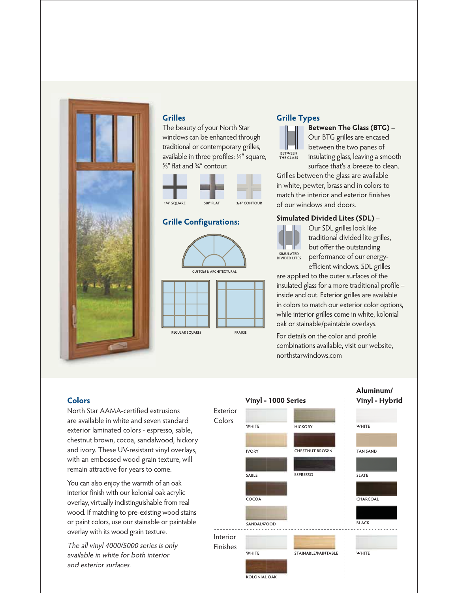

# **Grilles**

The beauty of your North Star windows can be enhanced through traditional or contemporary grilles, available in three profiles: ¼″ square, ⅝″ flat and ¾″ contour.



#### **Grille Configurations:**



# **Grille Types**



**Between The Glass (BTG)** – Our BTG grilles are encased between the two panes of insulating glass, leaving a smooth surface that's a breeze to clean.

Grilles between the glass are available in white, pewter, brass and in colors to match the interior and exterior finishes of our windows and doors.

#### **Simulated Divided Lites (SDL)** –



Our SDL grilles look like traditional divided lite grilles, but offer the outstanding performance of our energyefficient windows. SDL grilles

are applied to the outer surfaces of the insulated glass for a more traditional profile – inside and out. Exterior grilles are available in colors to match our exterior color options, while interior grilles come in white, kolonial oak or stainable/paintable overlays.

For details on the color and profile combinations available, visit our website, northstarwindows.com

### **Colors**

North Star AAMA-certified extrusions are available in white and seven standard exterior laminated colors - espresso, sable, chestnut brown, cocoa, sandalwood, hickory and ivory. These UV-resistant vinyl overlays, with an embossed wood grain texture, will remain attractive for years to come.

You can also enjoy the warmth of an oak interior finish with our kolonial oak acrylic overlay, virtually indistinguishable from real wood. If matching to pre-existing wood stains or paint colors, use our stainable or paintable overlay with its wood grain texture.

The all vinyl 4000/5000 series is only available in white for both interior and exterior surfaces.

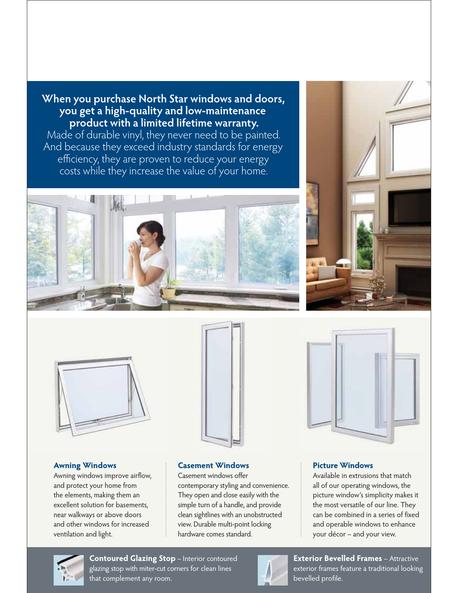**When you purchase North Star windows and doors, you get a high-quality and low-maintenance product with a limited lifetime warranty.** 

Made of durable vinyl, they never need to be painted. And because they exceed industry standards for energy efficiency, they are proven to reduce your energy costs while they increase the value of your home.











#### **Awning Windows**

Awning windows improve airflow, and protect your home from the elements, making them an excellent solution for basements, near walkways or above doors and other windows for increased ventilation and light.

#### **Casement Windows**

Casement windows offer contemporary styling and convenience. They open and close easily with the simple turn of a handle, and provide clean sightlines with an unobstructed view. Durable multi-point locking hardware comes standard.

#### **Picture Windows**

Available in extrusions that match all of our operating windows, the picture window's simplicity makes it the most versatile of our line. They can be combined in a series of fixed and operable windows to enhance your décor – and your view.



**Contoured Glazing Stop** – Interior contoured glazing stop with miter-cut corners for clean lines that complement any room.



**Exterior Bevelled Frames** – Attractive exterior frames feature a traditional looking bevelled profile.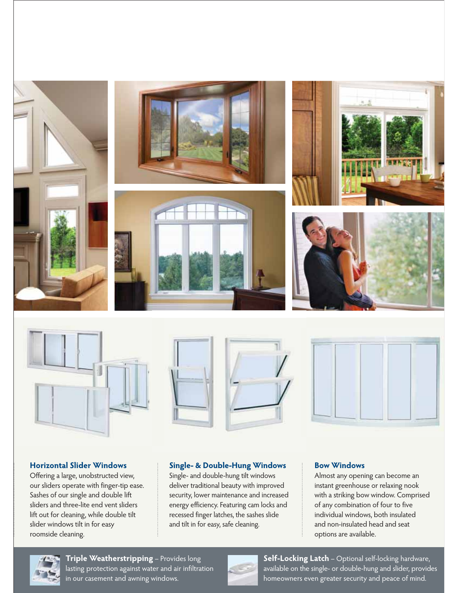

## **Horizontal Slider Windows**

Offering a large, unobstructed view, our sliders operate with finger-tip ease. Sashes of our single and double lift sliders and three-lite end vent sliders lift out for cleaning, while double tilt slider windows tilt in for easy roomside cleaning.

## **Single- & Double-Hung Windows**

Single- and double-hung tilt windows deliver traditional beauty with improved security, lower maintenance and increased energy efficiency. Featuring cam locks and recessed finger latches, the sashes slide and tilt in for easy, safe cleaning.

#### **Bow Windows**

Almost any opening can become an instant greenhouse or relaxing nook with a striking bow window. Comprised of any combination of four to five individual windows, both insulated and non-insulated head and seat options are available.



**Triple Weatherstripping** – Provides long lasting protection against water and air infiltration in our casement and awning windows.



**Self-Locking Latch** – Optional self-locking hardware, available on the single- or double-hung and slider, provides homeowners even greater security and peace of mind.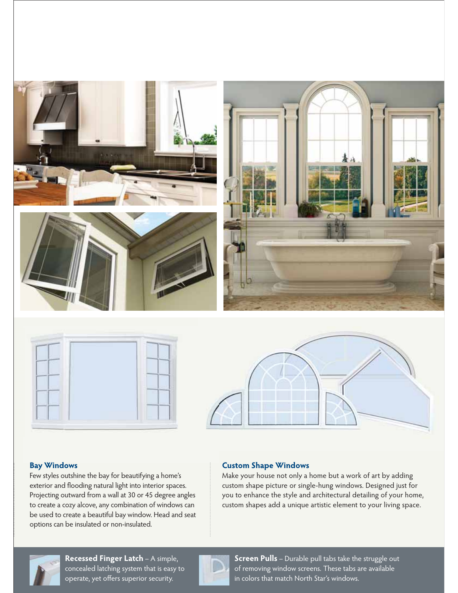

## **Bay Windows**

Few styles outshine the bay for beautifying a home's exterior and flooding natural light into interior spaces. Projecting outward from a wall at 30 or 45 degree angles to create a cozy alcove, any combination of windows can be used to create a beautiful bay window. Head and seat options can be insulated or non-insulated.

#### **Custom Shape Windows**

Make your house not only a home but a work of art by adding custom shape picture or single-hung windows. Designed just for you to enhance the style and architectural detailing of your home, custom shapes add a unique artistic element to your living space.



**Recessed Finger Latch** – A simple, concealed latching system that is easy to operate, yet offers superior security.



**Screen Pulls** – Durable pull tabs take the struggle out of removing window screens. These tabs are available in colors that match North Star's windows.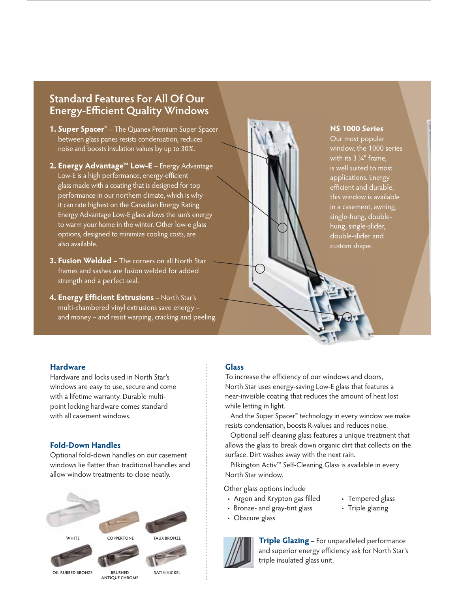# **Standard Features For All Of Our Energy-Efficient Quality Windows**

- **1. Super Spacer®** The Quanex Premium Super Spacer between glass panes resists condensation, reduces noise and boosts insulation values by up to 30%.
- **2. Energy Advantage™ Low-E**  Energy Advantage Low-E is a high performance, energy-efficient glass made with a coating that is designed for top performance in our northern climate, which is why it can rate highest on the Canadian Energy Rating. Energy Advantage Low-E glass allows the sun's energy to warm your home in the winter. Other low-e glass options, designed to minimize cooling costs, are also available.
- **3. Fusion Welded**  The corners on all North Star frames and sashes are fusion welded for added strength and a perfect seal.
- **4. Energy Efficient Extrusions** North Star's multi-chambered vinyl extrusions save energy – and money – and resist warping, cracking and peeling.



#### **NS 1000 Series**

Our most popular window, the 1000 series with its 3 ¼" frame, is well suited to most applications. Energy efficient and durable, this window is available in a casement, awning, single-hung, doublehung, single-slider, double-slider and custom shape.

#### **Hardware**

Hardware and locks used in North Star's windows are easy to use, secure and come with a lifetime warranty. Durable multipoint locking hardware comes standard with all casement windows.

#### **Fold-Down Handles**

Optional fold-down handles on our casement windows lie flatter than traditional handles and allow window treatments to close neatly.



#### **Glass**

To increase the efficiency of our windows and doors, North Star uses energy-saving Low-E glass that features a near-invisible coating that reduces the amount of heat lost while letting in light.

 And the Super Spacer® technology in every window we make resists condensation, boosts R-values and reduces noise.

 Optional self-cleaning glass features a unique treatment that allows the glass to break down organic dirt that collects on the surface. Dirt washes away with the next rain.

Pilkington Activ<sup>™</sup> Self-Cleaning Glass is available in every North Star window.

Other glass options include

- Argon and Krypton gas filled
- Tempered glass • Triple glazing
- Bronze- and gray-tint glass
- Obscure glass



and superior energy efficiency ask for North Star's triple insulated glass unit.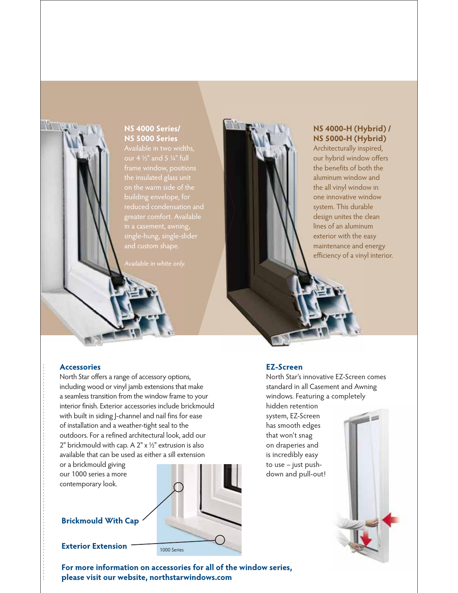

the insulated glass unit on the warm side of the reduced condensation and greater comfort. Available in a casement, awning, single-hung, single-slider

# **NS 4000-H (Hybrid) / NS 5000-H (Hybrid)**

Architecturally inspired, our hybrid window offers the benefits of both the aluminum window and the all vinyl window in one innovative window system. This durable design unites the clean lines of an aluminum exterior with the easy maintenance and energy efficiency of a vinyl interior.

#### **Accessories**

**NATION** 

North Star offers a range of accessory options, including wood or vinyl jamb extensions that make a seamless transition from the window frame to your interior finish. Exterior accessories include brickmould with built in siding J-channel and nail fins for ease of installation and a weather-tight seal to the outdoors. For a refined architectural look, add our 2" brickmould with cap. A  $2" \times \frac{1}{2"}$  extrusion is also available that can be used as either a sill extension

or a brickmould giving our 1000 series a more contemporary look.

# **Brickmould With Cap**

**Exterior Extension**

1000 Series

#### **EZ-Screen**

North Star's innovative EZ-Screen comes standard in all Casement and Awning windows. Featuring a completely

hidden retention system, EZ-Screen has smooth edges that won't snag on draperies and is incredibly easy to use – just pushdown and pull-out!



**For more information on accessories for all of the window series, please visit our website, northstarwindows.com**